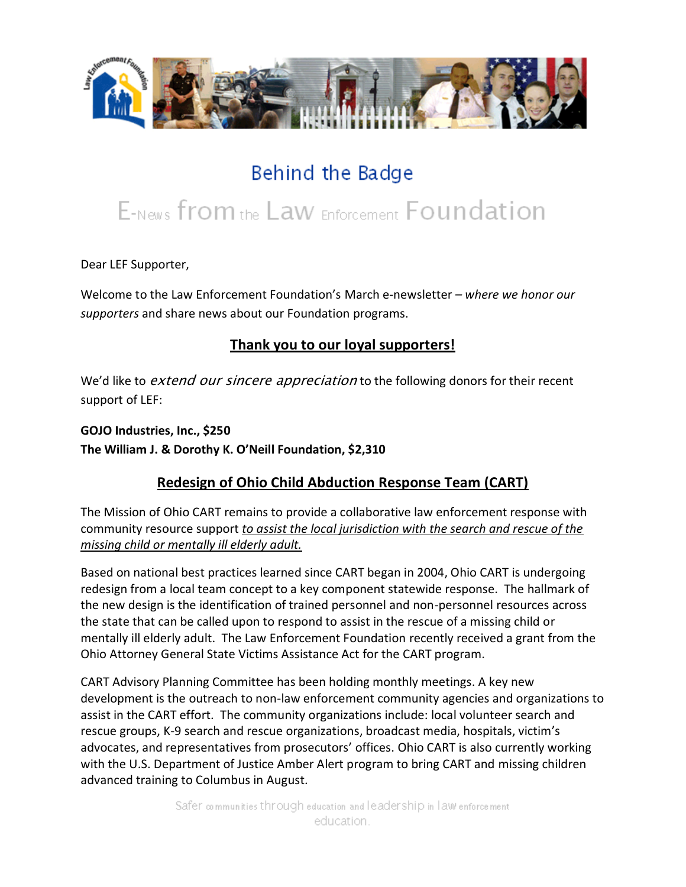

## Behind the Badge

# E-News from the Law Enforcement Foundation

Dear LEF Supporter,

Welcome to the Law Enforcement Foundation's March e-newsletter *– where we honor our supporters* and share news about our Foundation programs.

### **Thank you to our loyal supporters!**

We'd like to extend our sincere appreciation to the following donors for their recent support of LEF:

**GOJO Industries, Inc., \$250 The William J. & Dorothy K. O'Neill Foundation, \$2,310**

### **Redesign of Ohio Child Abduction Response Team (CART)**

The Mission of Ohio CART remains to provide a collaborative law enforcement response with community resource support *to assist the local jurisdiction with the search and rescue of the missing child or mentally ill elderly adult.*

Based on national best practices learned since CART began in 2004, Ohio CART is undergoing redesign from a local team concept to a key component statewide response. The hallmark of the new design is the identification of trained personnel and non-personnel resources across the state that can be called upon to respond to assist in the rescue of a missing child or mentally ill elderly adult. The Law Enforcement Foundation recently received a grant from the Ohio Attorney General State Victims Assistance Act for the CART program.

CART Advisory Planning Committee has been holding monthly meetings. A key new development is the outreach to non-law enforcement community agencies and organizations to assist in the CART effort. The community organizations include: local volunteer search and rescue groups, K-9 search and rescue organizations, broadcast media, hospitals, victim's advocates, and representatives from prosecutors' offices. Ohio CART is also currently working with the U.S. Department of Justice Amber Alert program to bring CART and missing children advanced training to Columbus in August.

> Safer communities through education and leadership in law enforcement education.